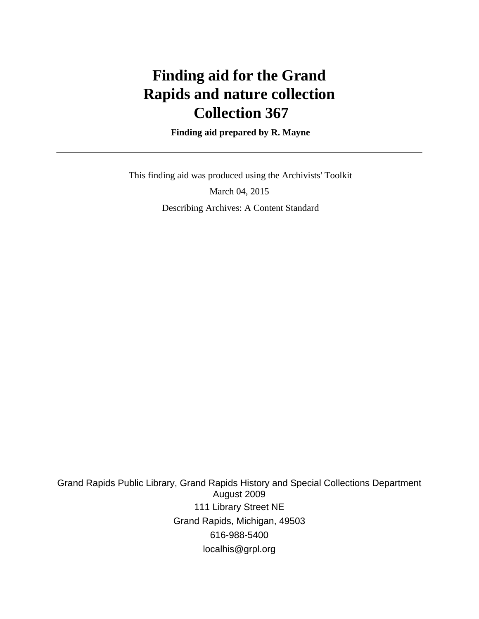# **Finding aid for the Grand Rapids and nature collection Collection 367**

 **Finding aid prepared by R. Mayne**

 This finding aid was produced using the Archivists' Toolkit March 04, 2015 Describing Archives: A Content Standard

Grand Rapids Public Library, Grand Rapids History and Special Collections Department August 2009 111 Library Street NE Grand Rapids, Michigan, 49503 616-988-5400 localhis@grpl.org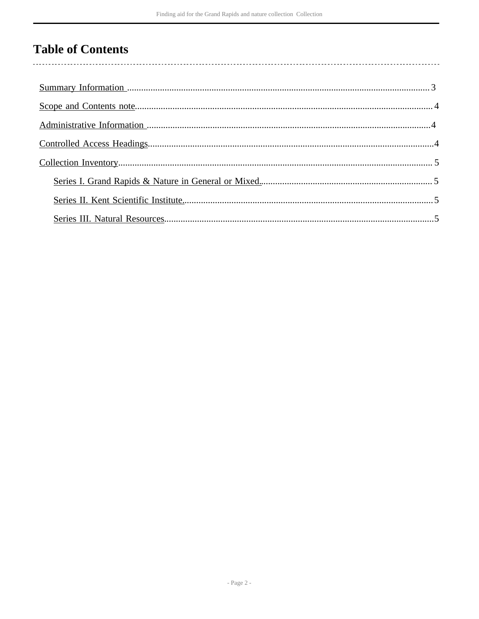## **Table of Contents**

 $\overline{\phantom{a}}$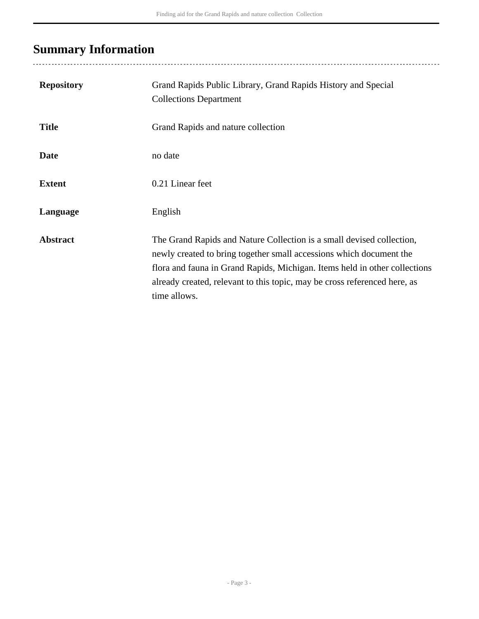## <span id="page-2-0"></span>**Summary Information**

..................................

| <b>Repository</b> | Grand Rapids Public Library, Grand Rapids History and Special<br><b>Collections Department</b>                                                                                                                                                                                                                          |
|-------------------|-------------------------------------------------------------------------------------------------------------------------------------------------------------------------------------------------------------------------------------------------------------------------------------------------------------------------|
| <b>Title</b>      | Grand Rapids and nature collection                                                                                                                                                                                                                                                                                      |
| <b>Date</b>       | no date                                                                                                                                                                                                                                                                                                                 |
| <b>Extent</b>     | 0.21 Linear feet                                                                                                                                                                                                                                                                                                        |
| Language          | English                                                                                                                                                                                                                                                                                                                 |
| <b>Abstract</b>   | The Grand Rapids and Nature Collection is a small devised collection,<br>newly created to bring together small accessions which document the<br>flora and fauna in Grand Rapids, Michigan. Items held in other collections<br>already created, relevant to this topic, may be cross referenced here, as<br>time allows. |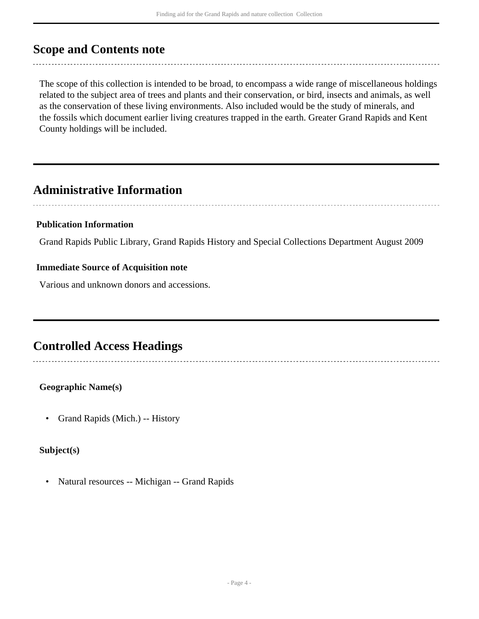#### <span id="page-3-0"></span>**Scope and Contents note**

The scope of this collection is intended to be broad, to encompass a wide range of miscellaneous holdings related to the subject area of trees and plants and their conservation, or bird, insects and animals, as well as the conservation of these living environments. Also included would be the study of minerals, and the fossils which document earlier living creatures trapped in the earth. Greater Grand Rapids and Kent County holdings will be included.

### <span id="page-3-1"></span>**Administrative Information**

#### **Publication Information**

Grand Rapids Public Library, Grand Rapids History and Special Collections Department August 2009

#### **Immediate Source of Acquisition note**

Various and unknown donors and accessions.

### <span id="page-3-2"></span>**Controlled Access Headings**

**Geographic Name(s)**

• Grand Rapids (Mich.) -- History

**Subject(s)**

• Natural resources -- Michigan -- Grand Rapids